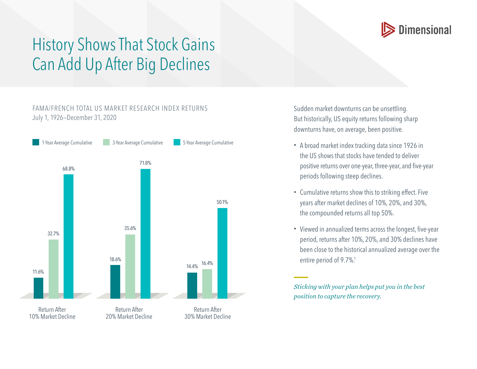

## History Shows That Stock Gains Can Add Up After Big Declines

## FAMA/FRENCH TOTAL US MARKET RESEARCH INDEX RETURNS July 1, 1926—December 31, 2020



Sudden market downturns can be unsettling. But historically, US equity returns following sharp downturns have, on average, been positive.

- A broad market index tracking data since 1926 in the US shows that stocks have tended to deliver positive returns over one-year, three-year, and five-year periods following steep declines.
- Cumulative returns show this to striking effect. Five years after market declines of 10%, 20%, and 30%, the compounded returns all top 50%.
- Viewed in annualized terms across the longest, five-year period, returns after 10%, 20%, and 30% declines have been close to the historical annualized average over the entire period of 9.7%.<sup>1</sup>

*Sticking with your plan helps put you in the best position to capture the recovery.*